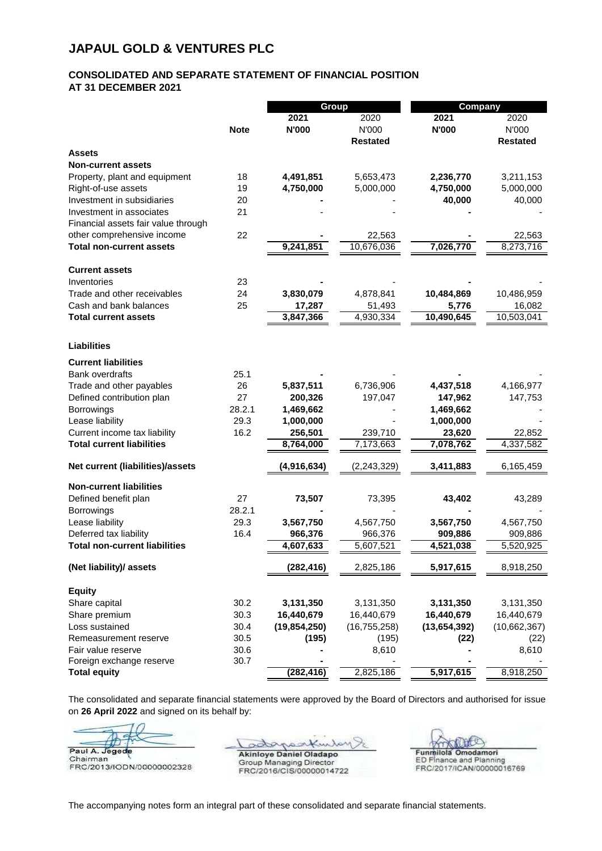## **JAPAUL GOLD & VENTURES PLC**

## **CONSOLIDATED AND SEPARATE STATEMENT OF FINANCIAL POSITION AT 31 DECEMBER 2021 - - - -**

|                                      |             | <b>Group</b>   |                 | Company      |                 |
|--------------------------------------|-------------|----------------|-----------------|--------------|-----------------|
|                                      |             | 2021           | 2020            | 2021         | 2020            |
|                                      | <b>Note</b> | <b>N'000</b>   | N'000           | <b>N'000</b> | N'000           |
|                                      |             |                | <b>Restated</b> |              | <b>Restated</b> |
| <b>Assets</b>                        |             |                |                 |              |                 |
| <b>Non-current assets</b>            |             |                |                 |              |                 |
| Property, plant and equipment        | 18          | 4,491,851      | 5,653,473       | 2,236,770    | 3,211,153       |
| Right-of-use assets                  | 19          | 4,750,000      | 5,000,000       | 4,750,000    | 5,000,000       |
| Investment in subsidiaries           | 20          |                |                 | 40,000       | 40,000          |
| Investment in associates             | 21          |                |                 |              |                 |
| Financial assets fair value through  |             |                |                 |              |                 |
| other comprehensive income           | 22          |                | 22,563          |              | 22,563          |
| <b>Total non-current assets</b>      |             | 9,241,851      | 10,676,036      | 7,026,770    | 8,273,716       |
| <b>Current assets</b>                |             |                |                 |              |                 |
| Inventories                          | 23          |                |                 |              |                 |
| Trade and other receivables          | 24          | 3,830,079      | 4,878,841       | 10,484,869   | 10,486,959      |
| Cash and bank balances               | 25          | 17,287         | 51,493          | 5,776        | 16,082          |
| <b>Total current assets</b>          |             | 3,847,366      | 4,930,334       | 10,490,645   | 10,503,041      |
| <b>Liabilities</b>                   |             |                |                 |              |                 |
|                                      |             |                |                 |              |                 |
| <b>Current liabilities</b>           |             |                |                 |              |                 |
| Bank overdrafts                      | 25.1        |                |                 |              |                 |
| Trade and other payables             | 26          | 5,837,511      | 6,736,906       | 4,437,518    | 4,166,977       |
| Defined contribution plan            | 27          | 200,326        | 197,047         | 147,962      | 147,753         |
| Borrowings                           | 28.2.1      | 1,469,662      |                 | 1,469,662    |                 |
| Lease liability                      | 29.3        | 1,000,000      |                 | 1,000,000    |                 |
| Current income tax liability         | 16.2        | 256,501        | 239,710         | 23,620       | 22,852          |
| <b>Total current liabilities</b>     |             | 8,764,000      | 7,173,663       | 7,078,762    | 4,337,582       |
| Net current (liabilities)/assets     |             | (4,916,634)    | (2, 243, 329)   | 3,411,883    | 6,165,459       |
| <b>Non-current liabilities</b>       |             |                |                 |              |                 |
| Defined benefit plan                 | 27          | 73,507         | 73,395          | 43,402       | 43,289          |
| <b>Borrowings</b>                    | 28.2.1      |                |                 |              |                 |
| Lease liability                      | 29.3        | 3,567,750      | 4,567,750       | 3,567,750    | 4,567,750       |
| Deferred tax liability               | 16.4        | 966,376        | 966,376         | 909,886      | 909,886         |
| <b>Total non-current liabilities</b> |             | 4,607,633      | 5,607,521       | 4,521,038    | 5,520,925       |
| (Net liability)/ assets              |             | (282, 416)     | 2,825,186       | 5,917,615    | 8,918,250       |
| <b>Equity</b>                        |             |                |                 |              |                 |
| Share capital                        | 30.2        | 3,131,350      | 3,131,350       | 3,131,350    | 3,131,350       |
| Share premium                        | 30.3        | 16,440,679     | 16,440,679      | 16,440,679   | 16,440,679      |
| Loss sustained                       | 30.4        | (19, 854, 250) | (16, 755, 258)  | (13,654,392) | (10,662,367)    |
| Remeasurement reserve                | 30.5        | (195)          | (195)           | (22)         | (22)            |
| Fair value reserve                   | 30.6        |                | 8,610           |              | 8,610           |
| Foreign exchange reserve             | 30.7        |                |                 |              |                 |
| <b>Total equity</b>                  |             | (282, 416)     | 2,825,186       | 5,917,615    | 8,918,250       |

The consolidated and separate financial statements were approved by the Board of Directors and authorised for issue on **26 April 2022** and signed on its behalf by:

Paul A. Jegede

Chairman<br>FRC/2013/IODN/00000002328

Akinlove Daniel Oladapo

Group Managing Director FRC/2016/CIS/00000014722

Funnilola Omodamori<br>ED Finance and Planning<br>FRC/2017/ICAN/00000016769

The accompanying notes form an integral part of these consolidated and separate financial statements.